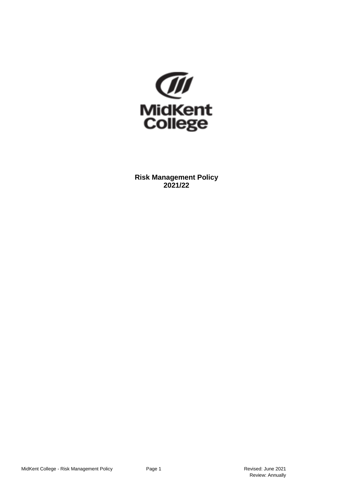

**Risk Management Policy 2021/22**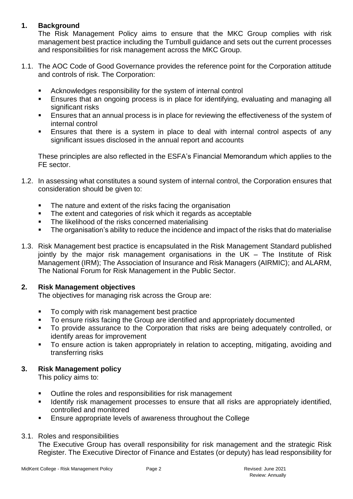### **1. Background**

The Risk Management Policy aims to ensure that the MKC Group complies with risk management best practice including the Turnbull guidance and sets out the current processes and responsibilities for risk management across the MKC Group.

- 1.1. The AOC Code of Good Governance provides the reference point for the Corporation attitude and controls of risk. The Corporation:
	- Acknowledges responsibility for the system of internal control
	- Ensures that an ongoing process is in place for identifying, evaluating and managing all significant risks
	- Ensures that an annual process is in place for reviewing the effectiveness of the system of internal control
	- Ensures that there is a system in place to deal with internal control aspects of any significant issues disclosed in the annual report and accounts

These principles are also reflected in the ESFA's Financial Memorandum which applies to the FE sector.

- 1.2. In assessing what constitutes a sound system of internal control, the Corporation ensures that consideration should be given to:
	- The nature and extent of the risks facing the organisation
	- The extent and categories of risk which it regards as acceptable
	- The likelihood of the risks concerned materialising
	- The organisation's ability to reduce the incidence and impact of the risks that do materialise
- 1.3. Risk Management best practice is encapsulated in the Risk Management Standard published jointly by the major risk management organisations in the UK – The Institute of Risk Management (IRM); The Association of Insurance and Risk Managers (AIRMIC); and ALARM, The National Forum for Risk Management in the Public Sector.

### **2. Risk Management objectives**

The objectives for managing risk across the Group are:

- To comply with risk management best practice
- To ensure risks facing the Group are identified and appropriately documented
- To provide assurance to the Corporation that risks are being adequately controlled, or identify areas for improvement
- To ensure action is taken appropriately in relation to accepting, mitigating, avoiding and transferring risks

### **3. Risk Management policy**

This policy aims to:

- Outline the roles and responsibilities for risk management
- Identify risk management processes to ensure that all risks are appropriately identified, controlled and monitored
- Ensure appropriate levels of awareness throughout the College

#### 3.1. Roles and responsibilities

The Executive Group has overall responsibility for risk management and the strategic Risk Register. The Executive Director of Finance and Estates (or deputy) has lead responsibility for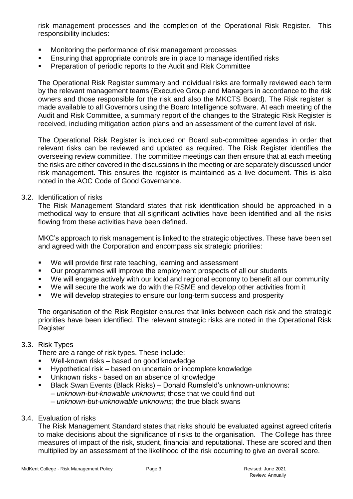risk management processes and the completion of the Operational Risk Register. This responsibility includes:

- Monitoring the performance of risk management processes
- **Ensuring that appropriate controls are in place to manage identified risks**
- Preparation of periodic reports to the Audit and Risk Committee

The Operational Risk Register summary and individual risks are formally reviewed each term by the relevant management teams (Executive Group and Managers in accordance to the risk owners and those responsible for the risk and also the MKCTS Board). The Risk register is made available to all Governors using the Board Intelligence software. At each meeting of the Audit and Risk Committee, a summary report of the changes to the Strategic Risk Register is received, including mitigation action plans and an assessment of the current level of risk.

The Operational Risk Register is included on Board sub-committee agendas in order that relevant risks can be reviewed and updated as required. The Risk Register identifies the overseeing review committee. The committee meetings can then ensure that at each meeting the risks are either covered in the discussions in the meeting or are separately discussed under risk management. This ensures the register is maintained as a live document. This is also noted in the AOC Code of Good Governance.

#### 3.2. Identification of risks

The Risk Management Standard states that risk identification should be approached in a methodical way to ensure that all significant activities have been identified and all the risks flowing from these activities have been defined.

MKC's approach to risk management is linked to the strategic objectives. These have been set and agreed with the Corporation and encompass six strategic priorities:

- We will provide first rate teaching, learning and assessment
- Our programmes will improve the employment prospects of all our students
- We will engage actively with our local and regional economy to benefit all our community
- We will secure the work we do with the RSME and develop other activities from it
- We will develop strategies to ensure our long-term success and prosperity

The organisation of the Risk Register ensures that links between each risk and the strategic priorities have been identified. The relevant strategic risks are noted in the Operational Risk **Register** 

### 3.3. Risk Types

There are a range of risk types. These include:

- Well-known risks based on good knowledge
- Hypothetical risk based on uncertain or incomplete knowledge
- **Unknown risks based on an absence of knowledge**
- Black Swan Events (Black Risks) Donald Rumsfeld's unknown-unknowns:
	- *unknown-but-knowable unknowns*; those that we could find out
	- *unknown-but-unknowable unknowns*; the true black swans
- 3.4. Evaluation of risks

The Risk Management Standard states that risks should be evaluated against agreed criteria to make decisions about the significance of risks to the organisation. The College has three measures of impact of the risk, student, financial and reputational. These are scored and then multiplied by an assessment of the likelihood of the risk occurring to give an overall score.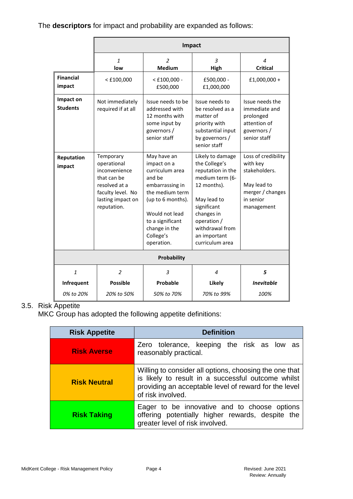## The **descriptors** for impact and probability are expanded as follows:

|                              |                                                                                                                                    | Impact                                                                                                                                                                                               |                                                                                                                                                                                                           |                                                                                                                |
|------------------------------|------------------------------------------------------------------------------------------------------------------------------------|------------------------------------------------------------------------------------------------------------------------------------------------------------------------------------------------------|-----------------------------------------------------------------------------------------------------------------------------------------------------------------------------------------------------------|----------------------------------------------------------------------------------------------------------------|
|                              | $\mathbf{1}$<br>low                                                                                                                | $\mathcal{P}$<br><b>Medium</b>                                                                                                                                                                       | $\overline{3}$<br>High                                                                                                                                                                                    | 4<br><b>Critical</b>                                                                                           |
| <b>Financial</b><br>impact   | $<$ £100,000                                                                                                                       | $<$ £100,000 -<br>£500,000                                                                                                                                                                           | £500,000 -<br>£1,000,000                                                                                                                                                                                  | £1,000,000 +                                                                                                   |
| Impact on<br><b>Students</b> | Not immediately<br>required if at all                                                                                              | Issue needs to be<br>addressed with<br>12 months with<br>some input by<br>governors /<br>senior staff                                                                                                | Issue needs to<br>be resolved as a<br>matter of<br>priority with<br>substantial input<br>by governors /<br>senior staff                                                                                   | Issue needs the<br>immediate and<br>prolonged<br>attention of<br>governors/<br>senior staff                    |
| Reputation<br>impact         | Temporary<br>operational<br>inconvenience<br>that can be<br>resolved at a<br>faculty level. No<br>lasting impact on<br>reputation. | May have an<br>impact on a<br>curriculum area<br>and be<br>embarrassing in<br>the medium term<br>(up to 6 months).<br>Would not lead<br>to a significant<br>change in the<br>College's<br>operation. | Likely to damage<br>the College's<br>reputation in the<br>medium term (6-<br>12 months).<br>May lead to<br>significant<br>changes in<br>operation /<br>withdrawal from<br>an important<br>curriculum area | Loss of credibility<br>with key<br>stakeholders.<br>May lead to<br>merger / changes<br>in senior<br>management |
| <b>Probability</b>           |                                                                                                                                    |                                                                                                                                                                                                      |                                                                                                                                                                                                           |                                                                                                                |
| $\mathbf{1}$                 | $\overline{2}$                                                                                                                     | 3                                                                                                                                                                                                    | 4                                                                                                                                                                                                         | 5                                                                                                              |
| Infrequent                   | <b>Possible</b>                                                                                                                    | Probable                                                                                                                                                                                             | Likely                                                                                                                                                                                                    | <b>Inevitable</b>                                                                                              |
| 0% to 20%                    | 20% to 50%                                                                                                                         | 50% to 70%                                                                                                                                                                                           | 70% to 99%                                                                                                                                                                                                | 100%                                                                                                           |

## 3.5. Risk Appetite

MKC Group has adopted the following appetite definitions:

| <b>Risk Appetite</b> | <b>Definition</b>                                                                                                                                                                          |  |
|----------------------|--------------------------------------------------------------------------------------------------------------------------------------------------------------------------------------------|--|
| <b>Risk Averse</b>   | Zero tolerance, keeping the risk as low as<br>reasonably practical.                                                                                                                        |  |
| <b>Risk Neutral</b>  | Willing to consider all options, choosing the one that<br>is likely to result in a successful outcome whilst<br>providing an acceptable level of reward for the level<br>of risk involved. |  |
| <b>Risk Taking</b>   | Eager to be innovative and to choose options<br>offering potentially higher rewards, despite the<br>greater level of risk involved.                                                        |  |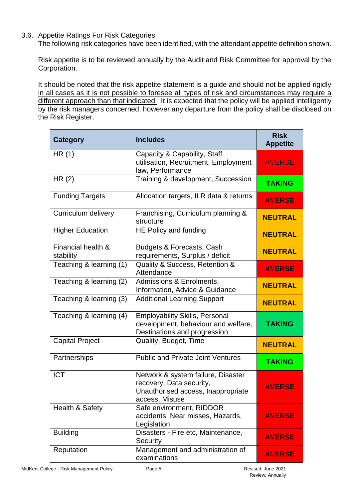3.6. Appetite Ratings For Risk Categories

The following risk categories have been identified, with the attendant appetite definition shown.

Risk appetite is to be reviewed annually by the Audit and Risk Committee for approval by the Corporation.

It should be noted that the risk appetite statement is a guide and should not be applied rigidly in all cases as it is not possible to foresee all types of risk and circumstances may require a different approach than that indicated. It is expected that the policy will be applied intelligently by the risk managers concerned, however any departure from the policy shall be disclosed on the Risk Register.

| <b>Category</b>                 | <b>Includes</b>                                                                                                        | <b>Risk</b><br><b>Appetite</b> |
|---------------------------------|------------------------------------------------------------------------------------------------------------------------|--------------------------------|
| HR(1)                           | Capacity & Capability, Staff<br>utilisation, Recruitment, Employment<br>law, Performance                               | <b>AVERSE</b>                  |
| HR(2)                           | Training & development, Succession                                                                                     | <b>TAKING</b>                  |
| <b>Funding Targets</b>          | Allocation targets, ILR data & returns                                                                                 | <b>AVERSE</b>                  |
| Curriculum delivery             | Franchising, Curriculum planning &<br>structure                                                                        | <b>NEUTRAL</b>                 |
| <b>Higher Education</b>         | HE Policy and funding                                                                                                  | <b>NEUTRAL</b>                 |
| Financial health &<br>stability | Budgets & Forecasts, Cash<br>requirements, Surplus / deficit                                                           | <b>NEUTRAL</b>                 |
| Teaching & learning (1)         | Quality & Success, Retention &<br>Attendance                                                                           | <b>AVERSE</b>                  |
| Teaching & learning (2)         | Admissions & Enrolments,<br>Information, Advice & Guidance                                                             | <b>NEUTRAL</b>                 |
| Teaching & learning (3)         | <b>Additional Learning Support</b>                                                                                     | <b>NEUTRAL</b>                 |
| Teaching & learning (4)         | <b>Employability Skills, Personal</b><br>development, behaviour and welfare,<br>Destinations and progression           | <b>TAKING</b>                  |
| <b>Capital Project</b>          | Quality, Budget, Time                                                                                                  | <b>NEUTRAL</b>                 |
| Partnerships                    | <b>Public and Private Joint Ventures</b>                                                                               | <b>TAKING</b>                  |
| <b>ICT</b>                      | Network & system failure, Disaster<br>recovery, Data security,<br>Unauthorised access, Inappropriate<br>access, Misuse | <b>AVERSE</b>                  |
| Health & Safety                 | Safe environment, RIDDOR<br>accidents, Near misses, Hazards,<br>Legislation                                            | <b>AVERSE</b>                  |
| <b>Building</b>                 | Disasters - Fire etc, Maintenance,<br>Security                                                                         | <b>AVERSE</b>                  |
| Reputation                      | Management and administration of<br>examinations                                                                       | <b>AVERSE</b>                  |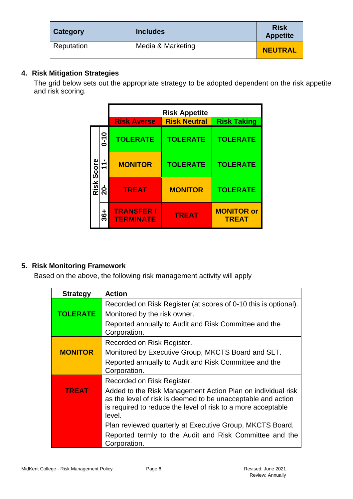| <b>Category</b> | <b>Includes</b>   | <b>Risk</b><br><b>Appetite</b> |
|-----------------|-------------------|--------------------------------|
| Reputation      | Media & Marketing | <b>NEUTRAL</b>                 |

## **4. Risk Mitigation Strategies**

The grid below sets out the appropriate strategy to be adopted dependent on the risk appetite and risk scoring.

|            |                      | <b>Risk Appetite</b>                 |                     |                                   |
|------------|----------------------|--------------------------------------|---------------------|-----------------------------------|
|            |                      | <b>Risk Averse</b>                   | <b>Risk Neutral</b> | <b>Risk Taking</b>                |
| Risk Score | $0 - 10$             | <b>TOLERATE</b>                      | <b>TOLERATE</b>     | <b>TOLERATE</b>                   |
|            | $\mathbf{\tilde{r}}$ | <b>MONITOR</b>                       | <b>TOLERATE</b>     | <b>TOLERATE</b>                   |
|            | <u>ង់</u>            | <b>TREAT</b>                         | <b>MONITOR</b>      | <b>TOLERATE</b>                   |
|            | $36 +$               | <b>TRANSFER/</b><br><b>TERMINATE</b> | <b>TREAT</b>        | <b>MONITOR or</b><br><b>TREAT</b> |

# **5. Risk Monitoring Framework**

Based on the above, the following risk management activity will apply

| <b>Strategy</b> | <b>Action</b>                                                                                                                                                                                         |
|-----------------|-------------------------------------------------------------------------------------------------------------------------------------------------------------------------------------------------------|
|                 | Recorded on Risk Register (at scores of 0-10 this is optional).                                                                                                                                       |
| <b>TOLERATE</b> | Monitored by the risk owner.                                                                                                                                                                          |
|                 | Reported annually to Audit and Risk Committee and the<br>Corporation.                                                                                                                                 |
|                 | Recorded on Risk Register.                                                                                                                                                                            |
| <b>MONITOR</b>  | Monitored by Executive Group, MKCTS Board and SLT.                                                                                                                                                    |
|                 | Reported annually to Audit and Risk Committee and the<br>Corporation.                                                                                                                                 |
|                 | Recorded on Risk Register.                                                                                                                                                                            |
| <b>TREAT</b>    | Added to the Risk Management Action Plan on individual risk<br>as the level of risk is deemed to be unacceptable and action<br>is required to reduce the level of risk to a more acceptable<br>level. |
|                 | Plan reviewed quarterly at Executive Group, MKCTS Board.                                                                                                                                              |
|                 | Reported termly to the Audit and Risk Committee and the<br>Corporation.                                                                                                                               |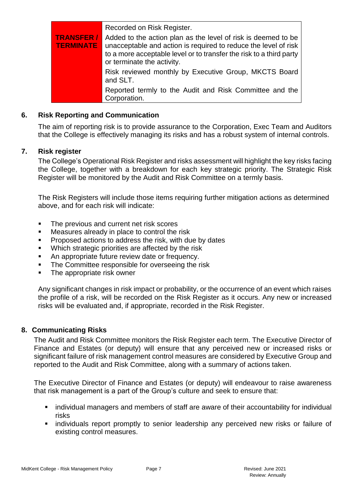|                                      | Recorded on Risk Register.                                                                                                                                                                                                            |
|--------------------------------------|---------------------------------------------------------------------------------------------------------------------------------------------------------------------------------------------------------------------------------------|
| <b>TRANSFER/</b><br><b>TERMINATE</b> | Added to the action plan as the level of risk is deemed to be<br>unacceptable and action is required to reduce the level of risk<br>to a more acceptable level or to transfer the risk to a third party<br>or terminate the activity. |
|                                      | Risk reviewed monthly by Executive Group, MKCTS Board<br>and SLT.                                                                                                                                                                     |
|                                      | Reported termly to the Audit and Risk Committee and the<br>Corporation.                                                                                                                                                               |

#### **6. Risk Reporting and Communication**

The aim of reporting risk is to provide assurance to the Corporation, Exec Team and Auditors that the College is effectively managing its risks and has a robust system of internal controls.

#### **7. Risk register**

The College's Operational Risk Register and risks assessment will highlight the key risks facing the College, together with a breakdown for each key strategic priority. The Strategic Risk Register will be monitored by the Audit and Risk Committee on a termly basis.

The Risk Registers will include those items requiring further mitigation actions as determined above, and for each risk will indicate:

- The previous and current net risk scores
- **EXECUTE:** Measures already in place to control the risk
- Proposed actions to address the risk, with due by dates
- Which strategic priorities are affected by the risk
- An appropriate future review date or frequency.
- The Committee responsible for overseeing the risk
- The appropriate risk owner

Any significant changes in risk impact or probability, or the occurrence of an event which raises the profile of a risk, will be recorded on the Risk Register as it occurs. Any new or increased risks will be evaluated and, if appropriate, recorded in the Risk Register.

#### **8. Communicating Risks**

The Audit and Risk Committee monitors the Risk Register each term. The Executive Director of Finance and Estates (or deputy) will ensure that any perceived new or increased risks or significant failure of risk management control measures are considered by Executive Group and reported to the Audit and Risk Committee, along with a summary of actions taken.

The Executive Director of Finance and Estates (or deputy) will endeavour to raise awareness that risk management is a part of the Group's culture and seek to ensure that:

- individual managers and members of staff are aware of their accountability for individual risks
- **EXED** individuals report promptly to senior leadership any perceived new risks or failure of existing control measures.